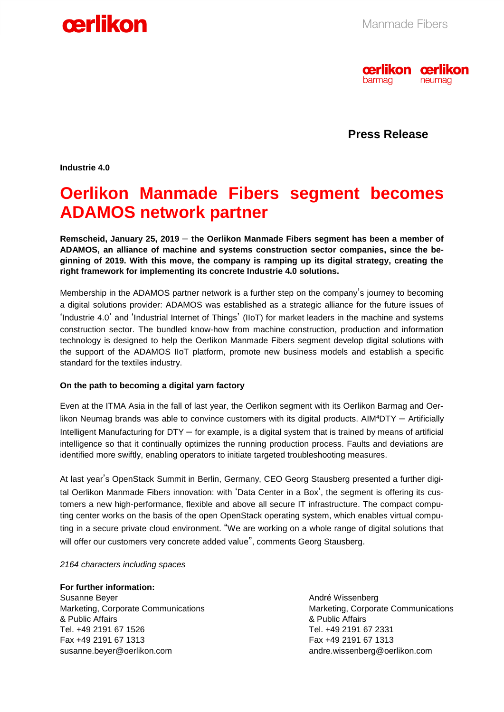



**Press Release**

**Industrie 4.0** 

## **Oerlikon Manmade Fibers segment becomes ADAMOS network partner**

**Remscheid, January 25, 2019** – **the Oerlikon Manmade Fibers segment has been a member of ADAMOS, an alliance of machine and systems construction sector companies, since the beginning of 2019. With this move, the company is ramping up its digital strategy, creating the right framework for implementing its concrete Industrie 4.0 solutions.** 

Membership in the ADAMOS partner network is a further step on the company's journey to becoming a digital solutions provider: ADAMOS was established as a strategic alliance for the future issues of 'Industrie 4.0' and 'Industrial Internet of Things' (IIoT) for market leaders in the machine and systems construction sector. The bundled know-how from machine construction, production and information technology is designed to help the Oerlikon Manmade Fibers segment develop digital solutions with the support of the ADAMOS IIoT platform, promote new business models and establish a specific standard for the textiles industry.

### **On the path to becoming a digital yarn factory**

Even at the ITMA Asia in the fall of last year, the Oerlikon segment with its Oerlikon Barmag and Oerlikon Neumag brands was able to convince customers with its digital products. AIM<sup>4</sup>DTY – Artificially Intelligent Manufacturing for DTY – for example, is a digital system that is trained by means of artificial intelligence so that it continually optimizes the running production process. Faults and deviations are identified more swiftly, enabling operators to initiate targeted troubleshooting measures.

At last year's OpenStack Summit in Berlin, Germany, CEO Georg Stausberg presented a further digital Oerlikon Manmade Fibers innovation: with 'Data Center in a Box', the segment is offering its customers a new high-performance, flexible and above all secure IT infrastructure. The compact computing center works on the basis of the open OpenStack operating system, which enables virtual computing in a secure private cloud environment. "We are working on a whole range of digital solutions that will offer our customers very concrete added value", comments Georg Stausberg.

#### *2164 characters including spaces*

**For further information:**  Susanne Beyer Marketing, Corporate Communications & Public Affairs Tel. +49 2191 67 1526 Fax +49 2191 67 1313 susanne.beyer@oerlikon.com

André Wissenberg Marketing, Corporate Communications & Public Affairs Tel. +49 2191 67 2331 Fax +49 2191 67 1313 andre.wissenberg@oerlikon.com